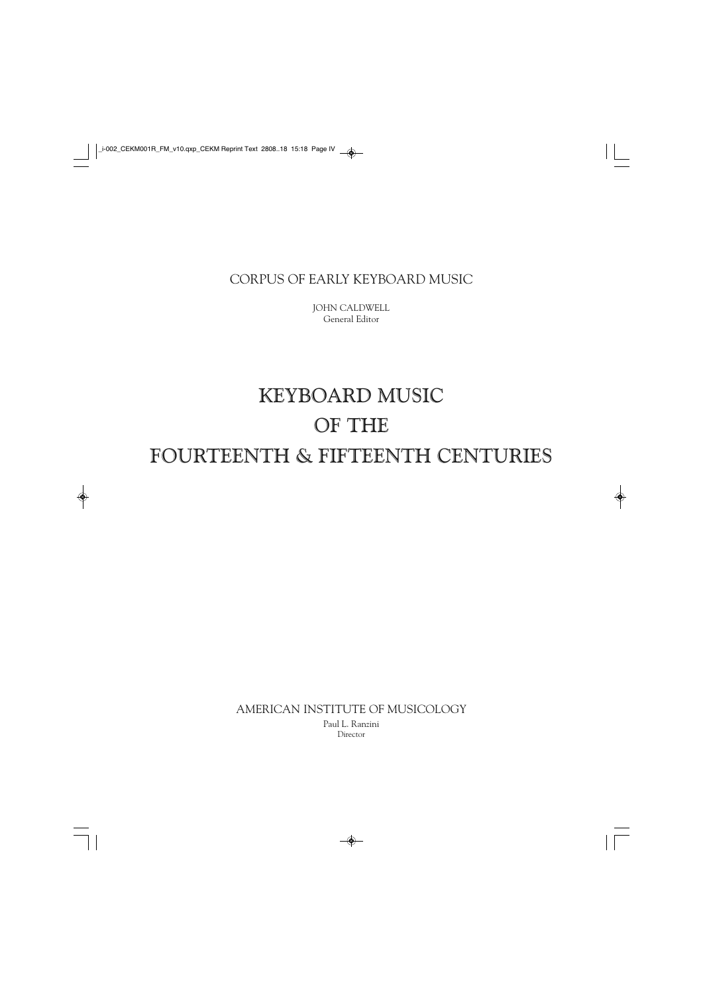### CORPUS OF EARLY KEYBOARD MUSIC

JOHN CALDWELL General Editor

## KEYBOARD MUSIC OF THE FOURTEENTH & FIFTEENTH CENTURIES

AMERICAN INSTITUTE OF MUSICOLOGY

Paul L. Ranzini Director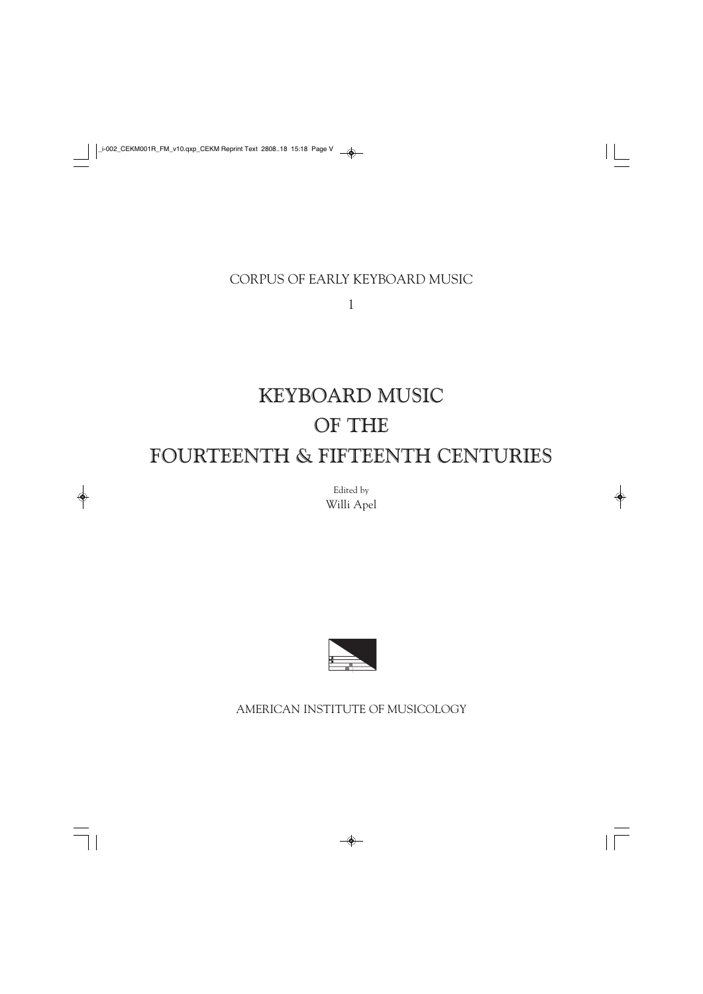## CORPUS OF EARLY KEYBOARD MUSIC

1

# KEYBOARD MUSIC OF THE FOURTEENTH & FIFTEENTH CENTURIES

Edited by Willi Apel



AMERICAN INSTITUTE OF MUSICOLOGY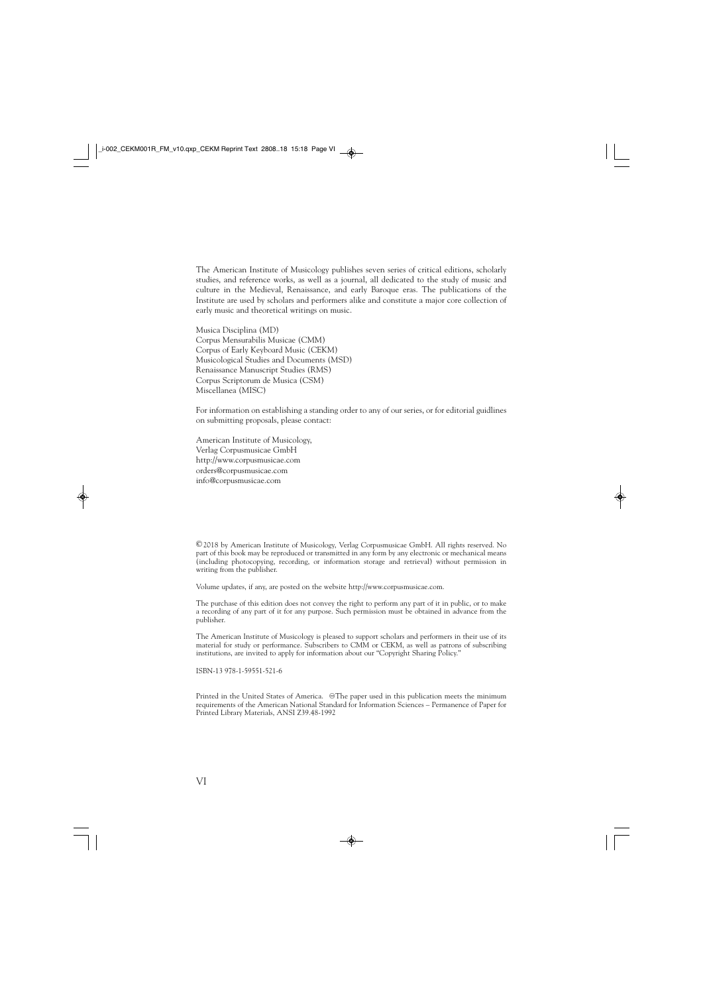The American Institute of Musicology publishes seven series of critical editions, scholarly studies, and reference works, as well as a journal, all dedicated to the study of music and culture in the Medieval, Renaissance, and early Baroque eras. The publications of the Institute are used by scholars and performers alike and constitute a major core collection of early music and theoretical writings on music.

Musica Disciplina (MD) Corpus Mensurabilis Musicae (CMM) Corpus of Early Keyboard Music (CEKM) Musicological Studies and Documents (MSD) Renaissance Manuscript Studies (RMS) Corpus Scriptorum de Musica (CSM) Miscellanea (MISC)

For information on establishing a standing order to any of our series, or for editorial guidlines on submitting proposals, please contact:

American Institute of Musicology, Verlag Corpusmusicae GmbH http://www.corpusmusicae.com orders@corpusmusicae.com info@corpusmusicae.com

©2018 by American Institute of Musicology, Verlag Corpusmusicae GmbH. All rights reserved. No part of this book may be reproduced or transmitted in any form by any electronic or mechanical means (including photocopying, recording, or information storage and retrieval) without permission in writing from the publisher.

Volume updates, if any, are posted on the website http://www.corpusmusicae.com.

The purchase of this edition does not convey the right to perform any part of it in public, or to make a recording of any part of it for any purpose. Such permission must be obtained in advance from the publisher.

The American Institute of Musicology is pleased to support scholars and performers in their use of its material for study or performance. Subscribers to CMM or CEKM, as well as patrons of subscribing institutions, are invited to apply for information about our "Copyright Sharing Policy."

ISBN-13 978-1-59551-521-6

Printed in the United States of America. @The paper used in this publication meets the minimum requirements of the American National Standard for Information Sciences – Permanence of Paper for Printed Library Materials, ANSI Z39.48-1992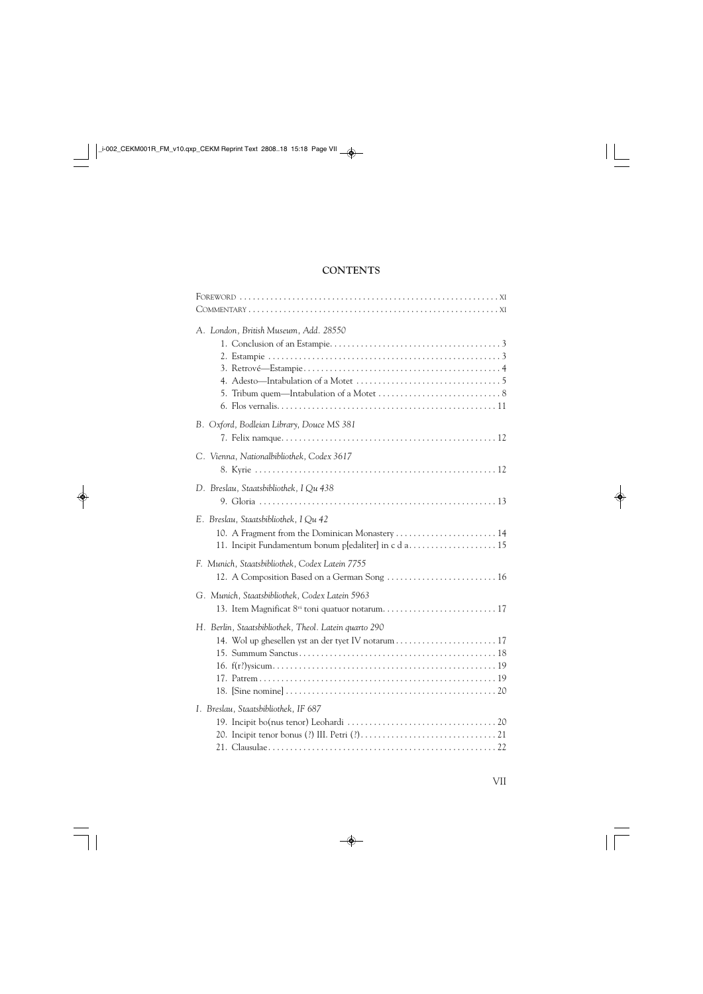### **CONTENTS**

| A. London, British Museum, Add. 28550                                                                                                          |
|------------------------------------------------------------------------------------------------------------------------------------------------|
| B. Oxford, Bodleian Library, Douce MS 381                                                                                                      |
| C. Vienna, Nationalbibliothek, Codex 3617                                                                                                      |
| D. Breslau, Staatsbibliothek, I Qu 438                                                                                                         |
| E. Breslau, Staatsbibliothek, I Qu 42<br>10. A Fragment from the Dominican Monastery  14<br>11. Incipit Fundamentum bonum p[edaliter] in c d a |
| F. Munich, Staatsbibliothek, Codex Latein 7755<br>12. A Composition Based on a German Song  16                                                 |
| G. Munich, Staatsbibliothek, Codex Latein 5963                                                                                                 |
| H. Berlin, Staatsbibliothek, Theol. Latein quarto 290                                                                                          |
| I. Breslau, Staatsbibliothek, IF 687                                                                                                           |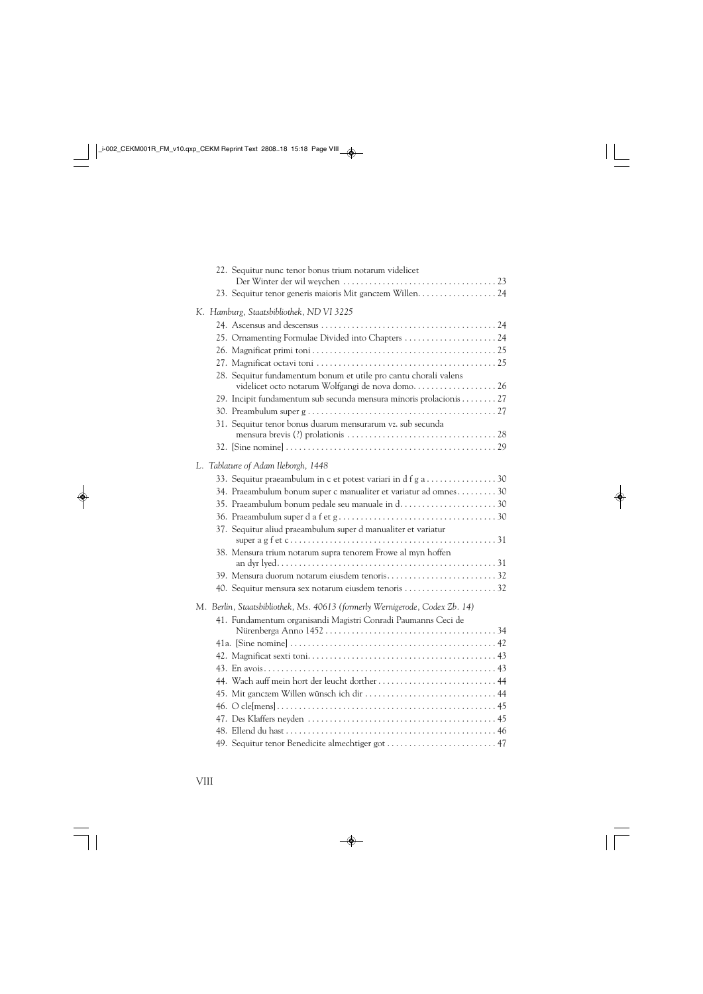| 22. Sequitur nunc tenor bonus trium notarum videlicet                                                                |
|----------------------------------------------------------------------------------------------------------------------|
| 23. Sequitur tenor generis maioris Mit ganczem Willen. 24                                                            |
|                                                                                                                      |
| K. Hamburg, Staatsbibliothek, ND VI 3225                                                                             |
|                                                                                                                      |
| 25. Ornamenting Formulae Divided into Chapters  24                                                                   |
|                                                                                                                      |
|                                                                                                                      |
| 28. Sequitur fundamentum bonum et utile pro cantu chorali valens<br>videlicet octo notarum Wolfgangi de nova domo 26 |
| 29. Incipit fundamentum sub secunda mensura minoris prolacionis  27                                                  |
|                                                                                                                      |
| 31. Sequitur tenor bonus duarum mensurarum vz. sub secunda                                                           |
|                                                                                                                      |
|                                                                                                                      |
| L. Tablature of Adam Ileborgh, 1448                                                                                  |
| 33. Sequitur praeambulum in c et potest variari in d f g a 30                                                        |
| 34. Praeambulum bonum super c manualiter et variatur ad omnes30                                                      |
| 35. Praeambulum bonum pedale seu manuale in d30                                                                      |
|                                                                                                                      |
| 37. Sequitur aliud praeambulum super d manualiter et variatur                                                        |
|                                                                                                                      |
| 38. Mensura trium notarum supra tenorem Frowe al myn hoffen                                                          |
|                                                                                                                      |
| 39. Mensura duorum notarum eiusdem tenoris32                                                                         |
| 40. Sequitur mensura sex notarum eiusdem tenoris 32                                                                  |
| M. Berlin, Staatsbibliothek, Ms. 40613 (formerly Wernigerode, Codex Zb. 14)                                          |
| 41. Fundamentum organisandi Magistri Conradi Paumanns Ceci de                                                        |
|                                                                                                                      |
|                                                                                                                      |
|                                                                                                                      |
|                                                                                                                      |
| 44. Wach auff mein hort der leucht dorther  44                                                                       |
| 45. Mit ganczem Willen wünsch ich dir  44                                                                            |
|                                                                                                                      |
|                                                                                                                      |
|                                                                                                                      |
| 49. Sequitur tenor Benedicite almechtiger got  47                                                                    |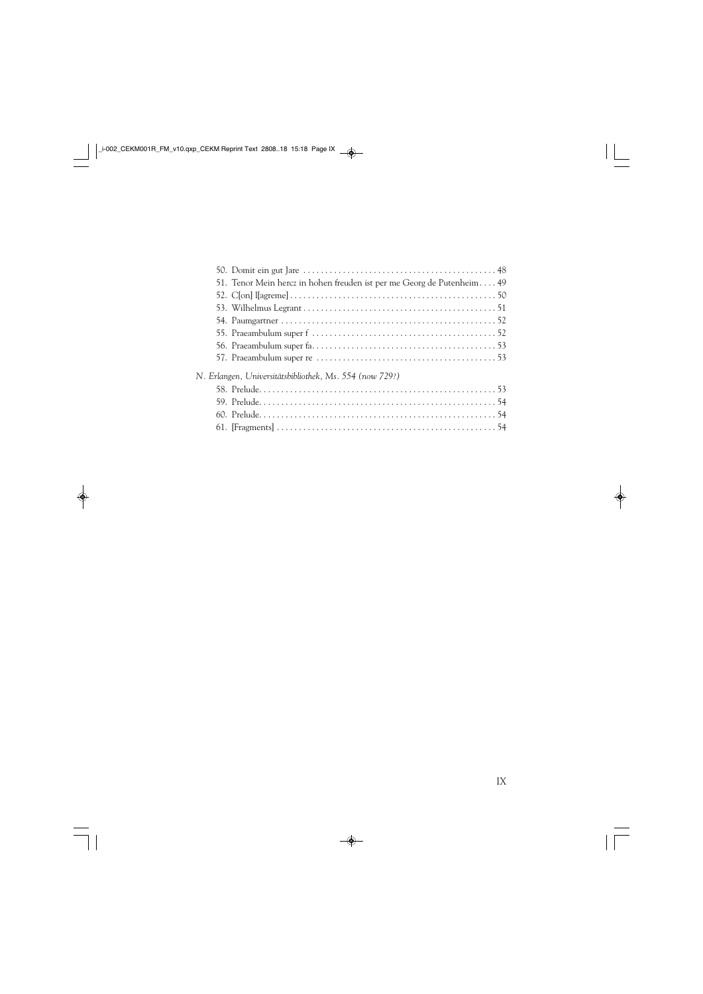|                                                         | 51. Tenor Mein hercz in hohen freuden ist per me Georg de Putenheim 49 |  |
|---------------------------------------------------------|------------------------------------------------------------------------|--|
|                                                         |                                                                        |  |
|                                                         |                                                                        |  |
|                                                         |                                                                        |  |
|                                                         |                                                                        |  |
|                                                         |                                                                        |  |
|                                                         |                                                                        |  |
| N. Erlangen, Universitätsbibliothek, Ms. 554 (now 729?) |                                                                        |  |
|                                                         |                                                                        |  |
|                                                         |                                                                        |  |
|                                                         |                                                                        |  |
|                                                         |                                                                        |  |
|                                                         |                                                                        |  |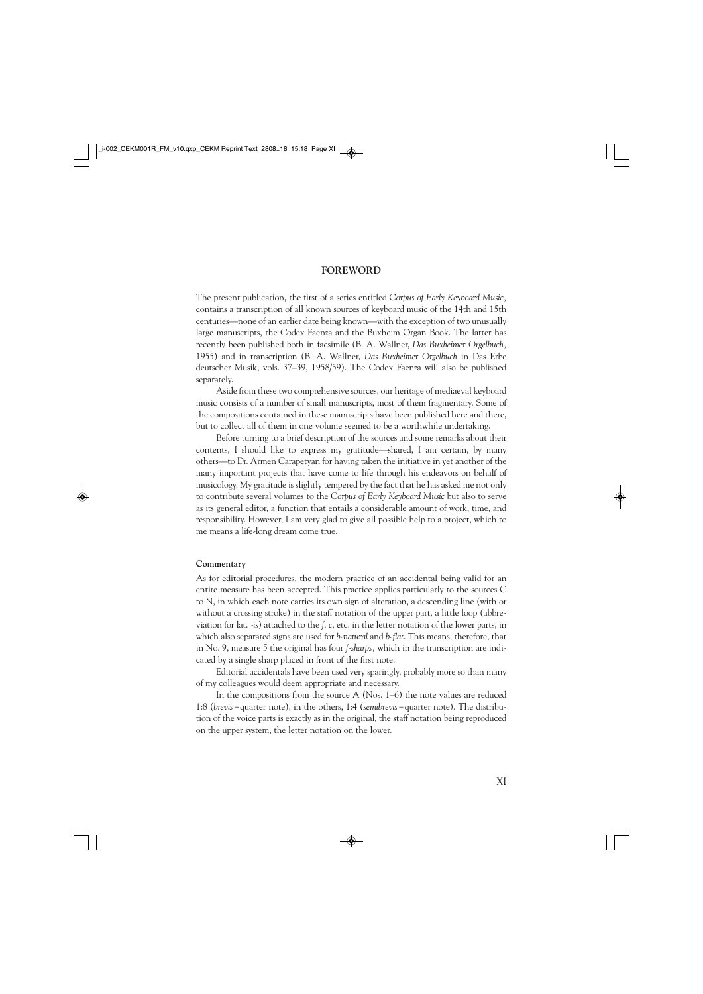#### **FOREWORD**

The present publication, the first of a series entitled *Corpus of Early Keyboard Music,*  contains a transcription of all known sources of keyboard music of the 14th and 15th centuries—none of an earlier date being known—with the exception of two unusually large manuscripts, the Codex Faenza and the Buxheim Organ Book. The latter has recently been published both in facsimile (B. A. Wallner, *Das Buxheimer Orgelbuch,*  1955) and in transcription (B. A. Wallner, *Das Buxheimer Orgelbuch* in Das Erbe deutscher Musik, vols. 37–39, 1958/59). The Codex Faenza will also be published separately.

Aside from these two comprehensive sources, our heritage of mediaeval keyboard music consists of a number of small manuscripts, most of them fragmentary. Some of the compositions contained in these manuscripts have been published here and there, but to collect all of them in one volume seemed to be a worthwhile undertaking.

Before turning to a brief description of the sources and some remarks about their contents, I should like to express my gratitude—shared, I am certain, by many others—to Dr. Armen Carapetyan for having taken the initiative in yet another of the many important projects that have come to life through his endeavors on behalf of musicology. My gratitude is slightly tempered by the fact that he has asked me not only to contribute several volumes to the *Corpus of Early Keyboard Music* but also to serve as its general editor, a function that entails a considerable amount of work, time, and responsibility. However, I am very glad to give all possible help to a project, which to me means a life-long dream come true.

#### **Commentary**

As for editorial procedures, the modern practice of an accidental being valid for an entire measure has been accepted. This practice applies particularly to the sources C to N, in which each note carries its own sign of alteration, a descending line (with or without a crossing stroke) in the staff notation of the upper part, a little loop (abbreviation for lat. *-is*) attached to the *f*, *c*, etc. in the letter notation of the lower parts, in which also separated signs are used for *b-natural* and *b-flat*. This means, therefore, that in No. 9, measure 5 the original has four *f-sharps,* which in the transcription are indicated by a single sharp placed in front of the first note.

Editorial accidentals have been used very sparingly, probably more so than many of my colleagues would deem appropriate and necessary.

In the compositions from the source A (Nos. 1–6) the note values are reduced 1:8 (*brevis*=quarter note), in the others, 1:4 (*semibrevis*=quarter note). The distribution of the voice parts is exactly as in the original, the staff notation being reproduced on the upper system, the letter notation on the lower.